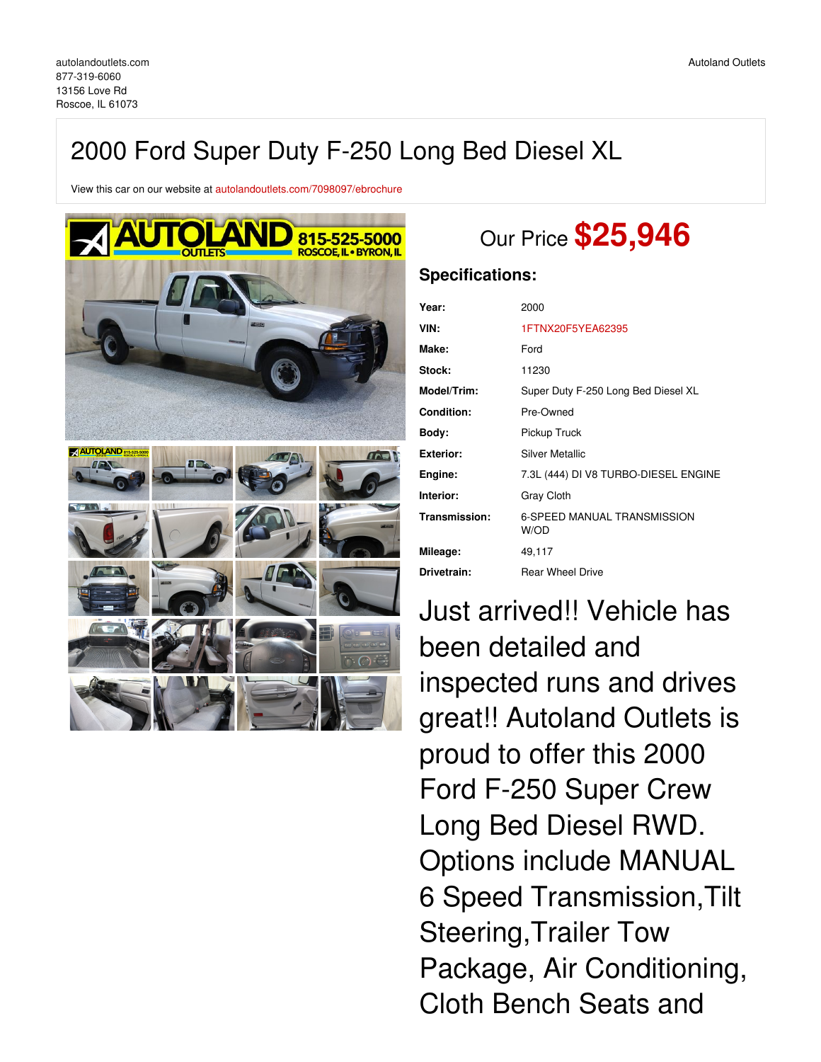## 2000 Ford Super Duty F-250 Long Bed Diesel XL

View this car on our website at [autolandoutlets.com/7098097/ebrochure](https://autolandoutlets.com/vehicle/7098097/2000-ford-super-duty-f-250-long-bed-diesel-xl-roscoe-il-61073/7098097/ebrochure)



# Our Price **\$25,946**

### **Specifications:**

| Year:              | 2000                                       |  |  |  |  |
|--------------------|--------------------------------------------|--|--|--|--|
| VIN:               | 1FTNX20F5YEA62395                          |  |  |  |  |
| Make:              | Ford                                       |  |  |  |  |
| <b>Stock:</b>      | 11230                                      |  |  |  |  |
| <b>Model/Trim:</b> | Super Duty F-250 Long Bed Diesel XL        |  |  |  |  |
| <b>Condition:</b>  | Pre-Owned                                  |  |  |  |  |
| Body:              | Pickup Truck                               |  |  |  |  |
| Exterior:          | <b>Silver Metallic</b>                     |  |  |  |  |
| Engine:            | 7.3L (444) DI V8 TURBO-DIESEL ENGINE       |  |  |  |  |
| Interior:          | Gray Cloth                                 |  |  |  |  |
| Transmission:      | <b>6-SPEED MANUAL TRANSMISSION</b><br>W/OD |  |  |  |  |
| Mileage:           | 49,117                                     |  |  |  |  |
| Drivetrain:        | <b>Rear Wheel Drive</b>                    |  |  |  |  |

Just arrived!! Vehicle has been detailed and inspected runs and drives great!! Autoland Outlets is proud to offer this 2000 Ford F-250 Super Crew Long Bed Diesel RWD. Options include MANUAL 6 Speed Transmission,Tilt Steering,Trailer Tow Package, Air Conditioning, Cloth Bench Seats and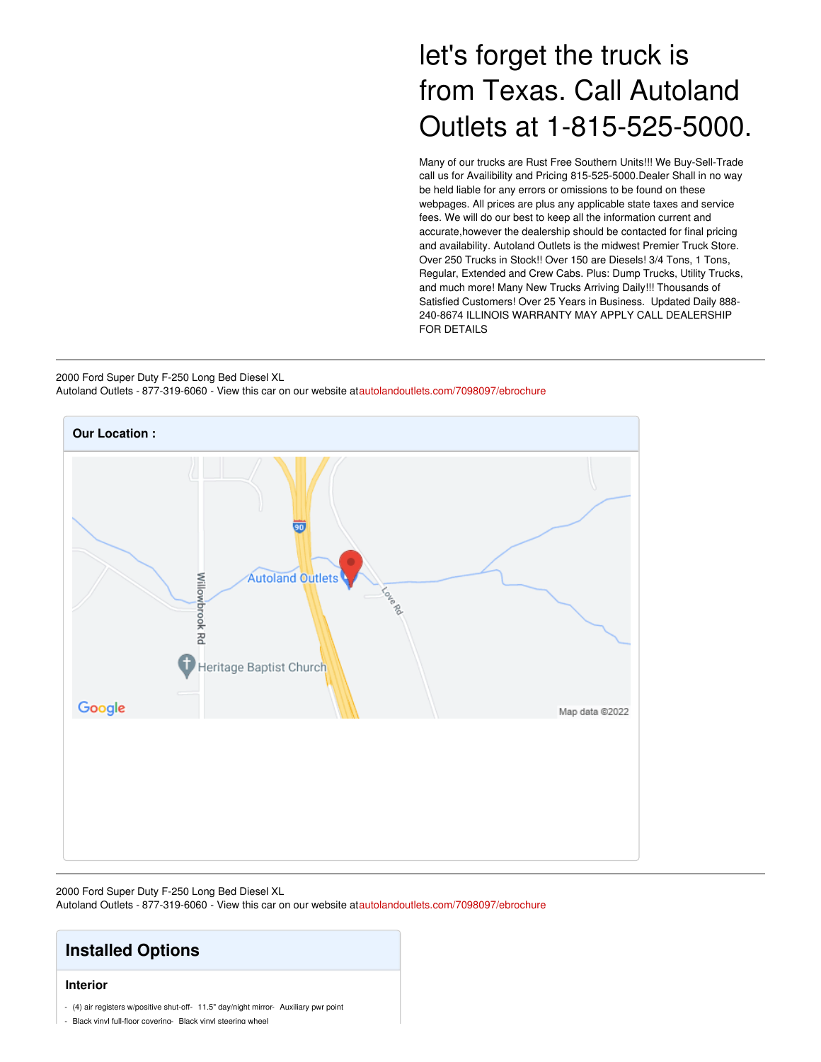## let's forget the truck is from Texas. Call Autoland Outlets at 1-815-525-5000.

Many of our trucks are Rust Free Southern Units!!! We Buy-Sell-Trade call us for Availibility and Pricing 815-525-5000.Dealer Shall in no way be held liable for any errors or omissions to be found on these webpages. All prices are plus any applicable state taxes and service fees. We will do our best to keep all the information current and accurate,however the dealership should be contacted for final pricing and availability. Autoland Outlets is the midwest Premier Truck Store. Over 250 Trucks in Stock!! Over 150 are Diesels! 3/4 Tons, 1 Tons, Regular, Extended and Crew Cabs. Plus: Dump Trucks, Utility Trucks, and much more! Many New Trucks Arriving Daily!!! Thousands of Satisfied Customers! Over 25 Years in Business. Updated Daily 888- 240-8674 ILLINOIS WARRANTY MAY APPLY CALL DEALERSHIP FOR DETAILS

2000 Ford Super Duty F-250 Long Bed Diesel XL Autoland Outlets - 877-319-6060 - View this car on our website at[autolandoutlets.com/7098097/ebrochure](https://autolandoutlets.com/vehicle/7098097/2000-ford-super-duty-f-250-long-bed-diesel-xl-roscoe-il-61073/7098097/ebrochure)



2000 Ford Super Duty F-250 Long Bed Diesel XL Autoland Outlets - 877-319-6060 - View this car on our website at[autolandoutlets.com/7098097/ebrochure](https://autolandoutlets.com/vehicle/7098097/2000-ford-super-duty-f-250-long-bed-diesel-xl-roscoe-il-61073/7098097/ebrochure)

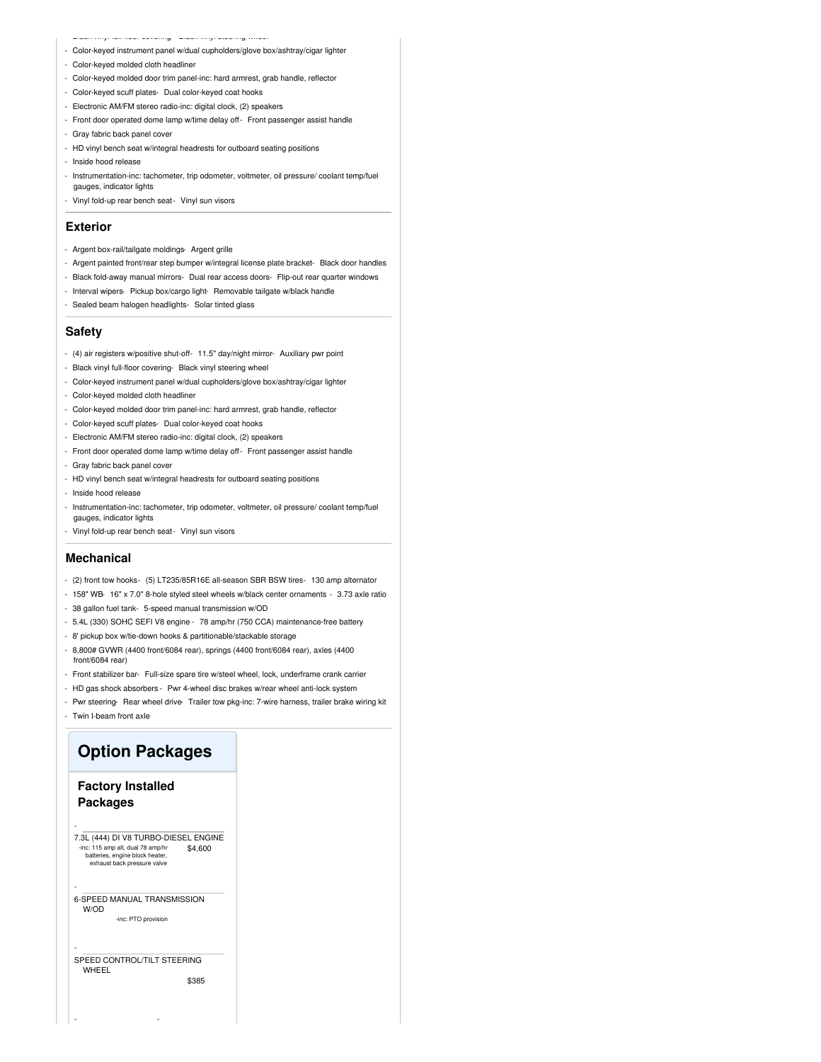- Black vinyl full-floor covering- Black vinyl steering wheel

- Color-keyed instrument panel w/dual cupholders/glove box/ashtray/cigar lighter
- Color-keyed molded cloth headliner
- Color-keyed molded door trim panel-inc: hard armrest, grab handle, reflector
- Color-keyed scuff plates- Dual color-keyed coat hooks
- Electronic AM/FM stereo radio-inc: digital clock, (2) speakers
- Front door operated dome lamp w/time delay off- Front passenger assist handle
- Gray fabric back panel cover
- HD vinyl bench seat w/integral headrests for outboard seating positions
- Inside hood release
- Instrumentation-inc: tachometer, trip odometer, voltmeter, oil pressure/ coolant temp/fuel gauges, indicator lights
- Vinyl fold-up rear bench seat- Vinyl sun visors

#### **Exterior**

- Argent box-rail/tailgate moldings- Argent grille
- Argent painted front/rear step bumper w/integral license plate bracket- Black door handles
- Black fold-away manual mirrors- Dual rear access doors- Flip-out rear quarter windows
- Interval wipers- Pickup box/cargo light- Removable tailgate w/black handle
- Sealed beam halogen headlights- Solar tinted glass

#### **Safety**

- (4) air registers w/positive shut-off- 11.5" day/night mirror- Auxiliary pwr point
- Black vinyl full-floor covering- Black vinyl steering wheel
- Color-keyed instrument panel w/dual cupholders/glove box/ashtray/cigar lighter
- Color-keyed molded cloth headliner
- Color-keyed molded door trim panel-inc: hard armrest, grab handle, reflector
- Color-keyed scuff plates- Dual color-keyed coat hooks
- Electronic AM/FM stereo radio-inc: digital clock, (2) speakers
- Front door operated dome lamp w/time delay off- Front passenger assist handle
- Gray fabric back panel cover
- HD vinyl bench seat w/integral headrests for outboard seating positions
- Inside hood release
- Instrumentation-inc: tachometer, trip odometer, voltmeter, oil pressure/ coolant temp/fuel gauges, indicator lights
- Vinyl fold-up rear bench seat- Vinyl sun visors

#### **Mechanical**

- (2) front tow hooks- (5) LT235/85R16E all-season SBR BSW tires- 130 amp alternator
- 158" WB- 16" x 7.0" 8-hole styled steel wheels w/black center ornaments 3.73 axle ratio
- 38 gallon fuel tank- 5-speed manual transmission w/OD
- 5.4L (330) SOHC SEFI V8 engine 78 amp/hr (750 CCA) maintenance-free battery
- 8' pickup box w/tie-down hooks & partitionable/stackable storage
- 8,800# GVWR (4400 front/6084 rear), springs (4400 front/6084 rear), axles (4400 front/6084 rear)
- Front stabilizer bar- Full-size spare tire w/steel wheel, lock, underframe crank carrier
- HD gas shock absorbers Pwr 4-wheel disc brakes w/rear wheel anti-lock system
- Pwr steering- Rear wheel drive- Trailer tow pkg-inc: 7-wire harness, trailer brake wiring kit - Twin I-beam front axle

### **Option Packages**

### **Factory Installed Packages**

-

-

-

\$4,600 7.3L (444) DI V8 TURBO-DIESEL ENGINE -inc: 115 amp alt, dual 78 amp/hr batteries, engine block heater, exhaust back pressure valve

6-SPEED MANUAL TRANSMISSION W/OD

-inc: PTO provision

#### SPEED CONTROL/TILT STEERING WHEEL

- -

\$385